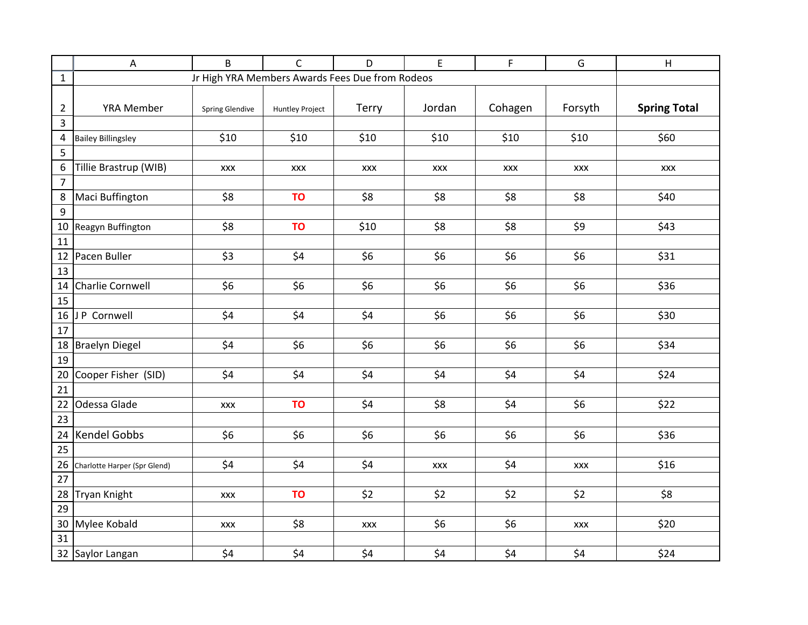|                         | $\mathsf A$                  | B                                               | $\mathsf C$            | D          | E          | F       | G          | H                   |
|-------------------------|------------------------------|-------------------------------------------------|------------------------|------------|------------|---------|------------|---------------------|
| $\mathbf{1}$            |                              | Jr High YRA Members Awards Fees Due from Rodeos |                        |            |            |         |            |                     |
|                         |                              |                                                 |                        |            |            |         |            |                     |
| $\overline{2}$          | <b>YRA Member</b>            | <b>Spring Glendive</b>                          | <b>Huntley Project</b> | Terry      | Jordan     | Cohagen | Forsyth    | <b>Spring Total</b> |
| 3                       |                              |                                                 |                        |            |            |         |            |                     |
| $\overline{\mathbf{4}}$ | <b>Bailey Billingsley</b>    | \$10                                            | \$10                   | \$10       | \$10       | \$10    | \$10       | \$60                |
| 5                       |                              |                                                 |                        |            |            |         |            |                     |
| $\boldsymbol{6}$        | Tillie Brastrup (WIB)        | <b>XXX</b>                                      | XXX                    | XXX        | <b>XXX</b> | XXX     | XXX        | <b>XXX</b>          |
| $\overline{7}$          |                              |                                                 |                        |            |            |         |            |                     |
| 8                       | Maci Buffington              | \$8                                             | <b>TO</b>              | \$8        | \$8        | \$8     | \$8        | \$40                |
| $\overline{9}$          |                              |                                                 |                        |            |            |         |            |                     |
| 10                      | Reagyn Buffington            | \$8                                             | <b>TO</b>              | \$10       | \$8        | \$8     | \$9        | \$43                |
| $11\,$                  |                              |                                                 |                        |            |            |         |            |                     |
| 12                      | Pacen Buller                 | \$3                                             | \$4                    | \$6        | \$6        | \$6     | \$6        | \$31                |
| 13                      |                              |                                                 |                        |            |            |         |            |                     |
| 14                      | <b>Charlie Cornwell</b>      | \$6                                             | \$6                    | \$6        | \$6        | \$6     | \$6        | \$36                |
| 15                      |                              |                                                 |                        |            |            |         |            |                     |
| 16                      | J P Cornwell                 | \$4                                             | \$4                    | \$4        | \$6        | \$6     | \$6        | \$30                |
| 17                      |                              |                                                 |                        |            |            |         |            |                     |
|                         | 18 Braelyn Diegel            | \$4                                             | \$6                    | \$6        | \$6        | \$6     | \$6        | \$34                |
| 19                      |                              |                                                 |                        |            |            |         |            |                     |
| $20\,$                  | Cooper Fisher (SID)          | \$4                                             | \$4                    | \$4        | \$4        | \$4     | \$4        | \$24                |
| 21                      |                              |                                                 |                        |            |            |         |            |                     |
| 22                      | Odessa Glade                 | XXX                                             | <b>TO</b>              | \$4        | \$8        | \$4     | \$6        | \$22                |
| 23                      |                              |                                                 |                        |            |            |         |            |                     |
| 24                      | <b>Kendel Gobbs</b>          | \$6                                             | \$6                    | \$6        | \$6        | \$6     | \$6        | \$36                |
| 25                      |                              |                                                 |                        |            |            |         |            |                     |
| 26                      | Charlotte Harper (Spr Glend) | \$4                                             | \$4                    | \$4        | <b>XXX</b> | \$4     | XXX        | \$16                |
| 27                      |                              |                                                 |                        |            |            |         |            |                     |
| 28                      | <b>Tryan Knight</b>          | <b>XXX</b>                                      | <b>TO</b>              | \$2        | \$2        | \$2     | \$2        | \$8                 |
| 29                      |                              |                                                 |                        |            |            |         |            |                     |
| 30 <sub>o</sub>         | Mylee Kobald                 | XXX                                             | \$8                    | <b>XXX</b> | \$6        | \$6     | <b>XXX</b> | \$20                |
| 31                      |                              |                                                 |                        |            |            |         |            |                     |
|                         | 32 Saylor Langan             | \$4                                             | \$4                    | \$4        | \$4        | \$4     | \$4        | \$24                |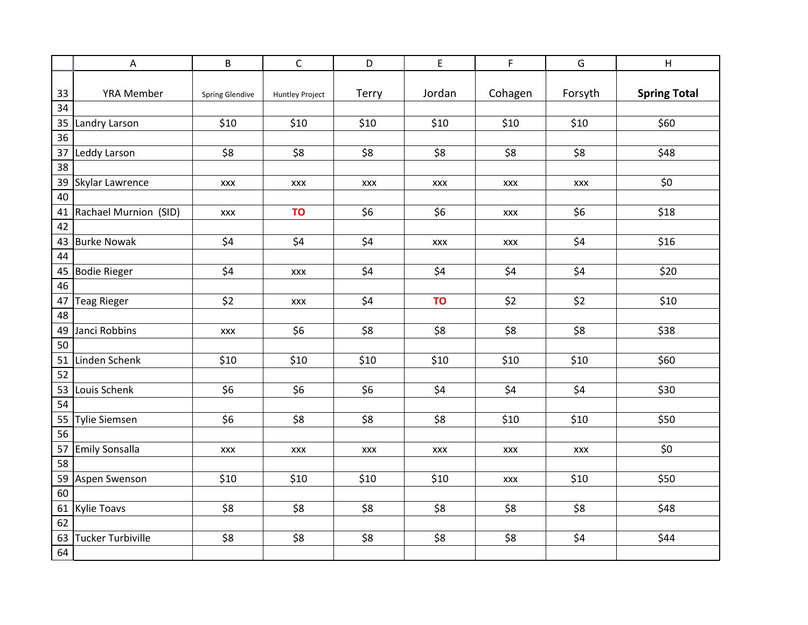|                 | $\mathsf A$              | B                      | $\mathsf C$            | D     | E         | $\mathsf F$ | G          | $\mathsf H$         |
|-----------------|--------------------------|------------------------|------------------------|-------|-----------|-------------|------------|---------------------|
| 33              | <b>YRA Member</b>        | <b>Spring Glendive</b> | <b>Huntley Project</b> | Terry | Jordan    | Cohagen     | Forsyth    | <b>Spring Total</b> |
| 34              |                          |                        |                        |       |           |             |            |                     |
| 35              | Landry Larson            | \$10                   | \$10                   | \$10  | \$10      | \$10        | \$10       | \$60                |
| 36              |                          |                        |                        |       |           |             |            |                     |
| 37              | <b>Leddy Larson</b>      | \$8                    | \$8                    | \$8   | \$8       | \$8         | \$8        | \$48                |
| $\overline{38}$ |                          |                        |                        |       |           |             |            |                     |
| 39              | Skylar Lawrence          | <b>XXX</b>             | XXX                    | XXX   | XXX       | XXX         | <b>XXX</b> | \$0                 |
| 40              |                          |                        |                        |       |           |             |            |                     |
| 42              | 41 Rachael Murnion (SID) | <b>XXX</b>             | <b>TO</b>              | \$6   | \$6       | XXX         | \$6        | \$18                |
|                 | 43 Burke Nowak           | \$4                    | \$4                    | \$4   | XXX       | XXX         | \$4        | \$16                |
| 44              |                          |                        |                        |       |           |             |            |                     |
|                 | 45 Bodie Rieger          | \$4                    | XXX                    | \$4   | \$4       | \$4         | \$4        | \$20                |
| 46              |                          |                        |                        |       |           |             |            |                     |
| 47              | <b>Teag Rieger</b>       | \$2                    | XXX                    | \$4   | <b>TO</b> | \$2         | \$2        | \$10                |
| 48              |                          |                        |                        |       |           |             |            |                     |
| 49              | Janci Robbins            | XXX                    | \$6                    | \$8   | \$8       | \$8         | \$8        | \$38                |
| 50              |                          |                        |                        |       |           |             |            |                     |
| 51              | Linden Schenk            | \$10                   | \$10                   | \$10  | \$10      | \$10        | \$10       | \$60                |
| 52              |                          |                        |                        |       |           |             |            |                     |
| 53              | Louis Schenk             | \$6                    | \$6                    | \$6   | \$4       | \$4         | \$4        | \$30                |
| 54              |                          |                        |                        |       |           |             |            |                     |
| 55              | <b>Tylie Siemsen</b>     | \$6                    | \$8                    | \$8   | \$8       | \$10        | \$10       | \$50                |
| 56              |                          |                        |                        |       |           |             |            |                     |
| 57              | <b>Emily Sonsalla</b>    | <b>XXX</b>             | XXX                    | XXX   | XXX       | <b>XXX</b>  | XXX        | \$0                 |
| 58              |                          |                        |                        |       |           |             |            |                     |
| 59              | Aspen Swenson            | \$10                   | \$10                   | \$10  | \$10      | <b>XXX</b>  | \$10       | \$50                |
| 60              |                          |                        |                        |       |           |             |            |                     |
|                 | 61 Kylie Toavs           | \$8                    | \$8                    | \$8   | \$8       | \$8         | \$8        | \$48                |
| 62              |                          |                        |                        |       |           |             |            |                     |
| 63              | Tucker Turbiville        | \$8                    | \$8                    | \$8   | \$8       | \$8         | \$4        | \$44                |
| 64              |                          |                        |                        |       |           |             |            |                     |